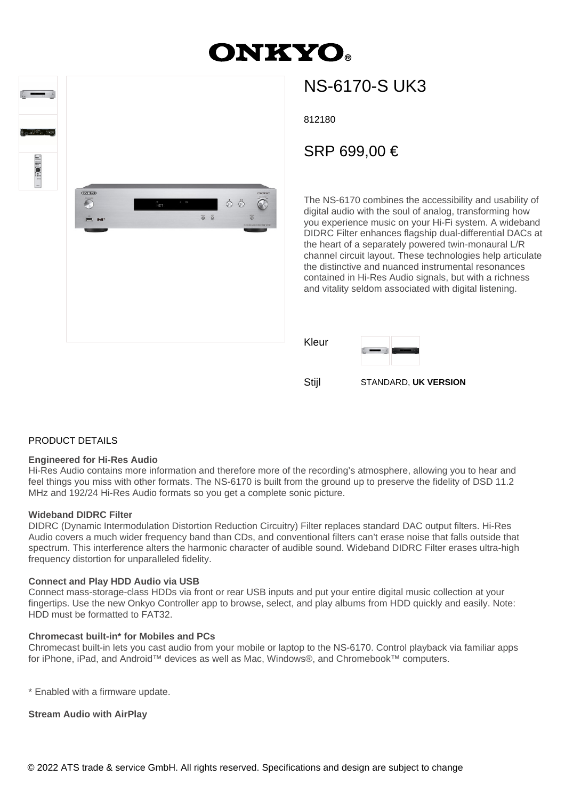# **ONKYO**





## NS-6170-S UK3

812180

### SRP 699,00 €

The NS-6170 combines the accessibility and usability of digital audio with the soul of analog, transforming how you experience music on your Hi-Fi system. A wideband DIDRC Filter enhances flagship dual-differential DACs at the heart of a separately powered twin-monaural L/R channel circuit layout. These technologies help articulate the distinctive and nuanced instrumental resonances contained in Hi-Res Audio signals, but with a richness and vitality seldom associated with digital listening.





Stijl STANDARD, **UK VERSION**

#### PRODUCT DETAILS

#### **Engineered for Hi-Res Audio**

Hi-Res Audio contains more information and therefore more of the recording's atmosphere, allowing you to hear and feel things you miss with other formats. The NS-6170 is built from the ground up to preserve the fidelity of DSD 11.2 MHz and 192/24 Hi-Res Audio formats so you get a complete sonic picture.

#### **Wideband DIDRC Filter**

DIDRC (Dynamic Intermodulation Distortion Reduction Circuitry) Filter replaces standard DAC output filters. Hi-Res Audio covers a much wider frequency band than CDs, and conventional filters can't erase noise that falls outside that spectrum. This interference alters the harmonic character of audible sound. Wideband DIDRC Filter erases ultra-high frequency distortion for unparalleled fidelity.

#### **Connect and Play HDD Audio via USB**

Connect mass-storage-class HDDs via front or rear USB inputs and put your entire digital music collection at your fingertips. Use the new Onkyo Controller app to browse, select, and play albums from HDD quickly and easily. Note: HDD must be formatted to FAT32.

#### **Chromecast built-in\* for Mobiles and PCs**

Chromecast built-in lets you cast audio from your mobile or laptop to the NS-6170. Control playback via familiar apps for iPhone, iPad, and Android™ devices as well as Mac, Windows®, and Chromebook™ computers.

\* Enabled with a firmware update.

**Stream Audio with AirPlay**